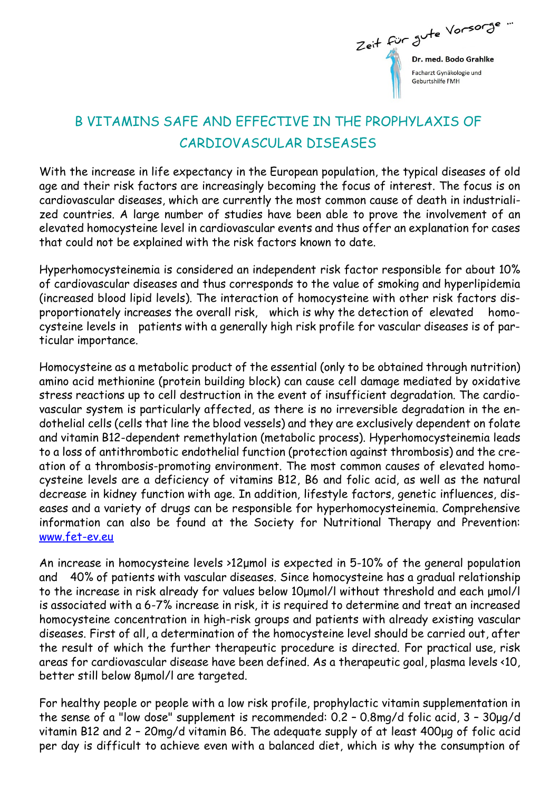

## B VITAMINS SAFE AND EFFECTIVE IN THE PROPHYLAXIS OF CARDIOVASCULAR DISEASES

With the increase in life expectancy in the European population, the typical diseases of old age and their risk factors are increasingly becoming the focus of interest. The focus is on cardiovascular diseases, which are currently the most common cause of death in industrialized countries. A large number of studies have been able to prove the involvement of an elevated homocysteine level in cardiovascular events and thus offer an explanation for cases that could not be explained with the risk factors known to date.

Hyperhomocysteinemia is considered an independent risk factor responsible for about 10% of cardiovascular diseases and thus corresponds to the value of smoking and hyperlipidemia (increased blood lipid levels). The interaction of homocysteine with other risk factors disproportionately increases the overall risk, which is why the detection of elevated homocysteine levels in patients with a generally high risk profile for vascular diseases is of particular importance.

Homocysteine as a metabolic product of the essential (only to be obtained through nutrition) amino acid methionine (protein building block) can cause cell damage mediated by oxidative stress reactions up to cell destruction in the event of insufficient degradation. The cardiovascular system is particularly affected, as there is no irreversible degradation in the endothelial cells (cells that line the blood vessels) and they are exclusively dependent on folate and vitamin B12-dependent remethylation (metabolic process). Hyperhomocysteinemia leads to a loss of antithrombotic endothelial function (protection against thrombosis) and the creation of a thrombosis-promoting environment. The most common causes of elevated homocysteine levels are a deficiency of vitamins B12, B6 and folic acid, as well as the natural decrease in kidney function with age. In addition, lifestyle factors, genetic influences, diseases and a variety of drugs can be responsible for hyperhomocysteinemia. Comprehensive information can also be found at the Society for Nutritional Therapy and Prevention[:](http://www.fet-ev.eu/) [w](http://www.fet-ev.eu/)[ww.fet-ev.eu](www.fet-ev.eu)

An increase in homocysteine levels >12μmol is expected in 5-10% of the general population and 40% of patients with vascular diseases. Since homocysteine has a gradual relationship to the increase in risk already for values below 10μmol/l without threshold and each μmol/l is associated with a 6-7% increase in risk, it is required to determine and treat an increased homocysteine concentration in high-risk groups and patients with already existing vascular diseases. First of all, a determination of the homocysteine level should be carried out, after the result of which the further therapeutic procedure is directed. For practical use, risk areas for cardiovascular disease have been defined. As a therapeutic goal, plasma levels <10, better still below 8μmol/l are targeted.

For healthy people or people with a low risk profile, prophylactic vitamin supplementation in the sense of a "low dose" supplement is recommended: 0.2 – 0.8mg/d folic acid, 3 – 30μg/d vitamin B12 and 2 – 20mg/d vitamin B6. The adequate supply of at least 400μg of folic acid per day is difficult to achieve even with a balanced diet, which is why the consumption of